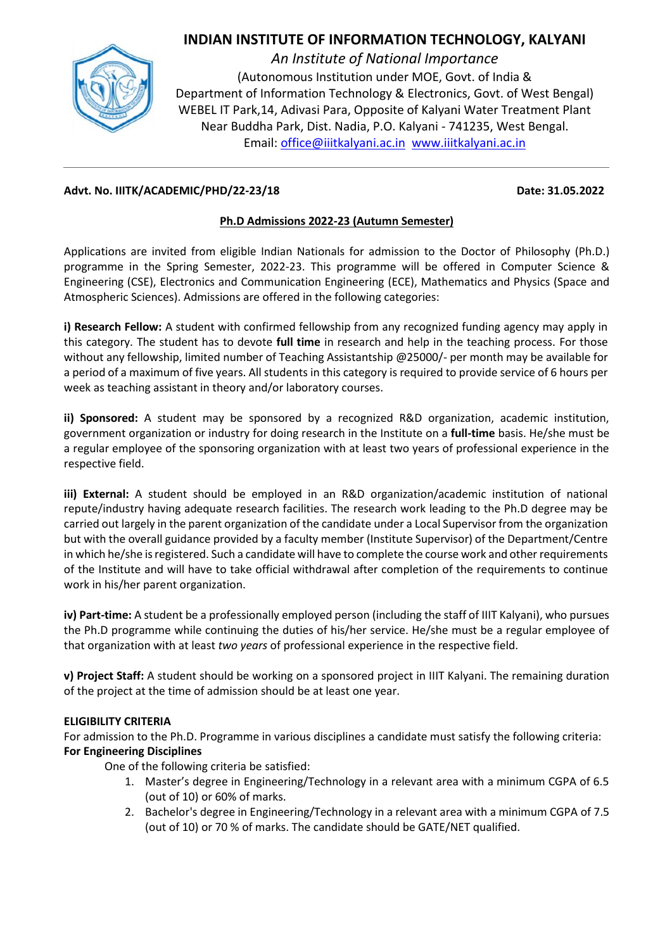## **INDIAN INSTITUTE OF INFORMATION TECHNOLOGY, KALYANI**



*An Institute of National Importance* (Autonomous Institution under MOE, Govt. of India & Department of Information Technology & Electronics, Govt. of West Bengal) WEBEL IT Park,14, Adivasi Para, Opposite of Kalyani Water Treatment Plant Near Buddha Park, Dist. Nadia, P.O. Kalyani - 741235, West Bengal. Email[: office@iiitkalyani.ac.in](mailto:office@iiitkalyani.ac.in) www.iiitkalyani.ac.in

### **Advt. No. IIITK/ACADEMIC/PHD/22-23/18 Date: 31.05.2022**

## **Ph.D Admissions 2022-23 (Autumn Semester)**

Applications are invited from eligible Indian Nationals for admission to the Doctor of Philosophy (Ph.D.) programme in the Spring Semester, 2022-23. This programme will be offered in Computer Science & Engineering (CSE), Electronics and Communication Engineering (ECE), Mathematics and Physics (Space and Atmospheric Sciences). Admissions are offered in the following categories:

**i) Research Fellow:** A student with confirmed fellowship from any recognized funding agency may apply in this category. The student has to devote **full time** in research and help in the teaching process. For those without any fellowship, limited number of Teaching Assistantship @25000/- per month may be available for a period of a maximum of five years. All students in this category is required to provide service of 6 hours per week as teaching assistant in theory and/or laboratory courses.

**ii) Sponsored:** A student may be sponsored by a recognized R&D organization, academic institution, government organization or industry for doing research in the Institute on a **full-time** basis. He/she must be a regular employee of the sponsoring organization with at least two years of professional experience in the respective field.

**iii) External:** A student should be employed in an R&D organization/academic institution of national repute/industry having adequate research facilities. The research work leading to the Ph.D degree may be carried out largely in the parent organization of the candidate under a Local Supervisor from the organization but with the overall guidance provided by a faculty member (Institute Supervisor) of the Department/Centre in which he/she is registered. Such a candidate will have to complete the course work and other requirements of the Institute and will have to take official withdrawal after completion of the requirements to continue work in his/her parent organization.

**iv) Part-time:** A student be a professionally employed person (including the staff of IIIT Kalyani), who pursues the Ph.D programme while continuing the duties of his/her service. He/she must be a regular employee of that organization with at least *two years* of professional experience in the respective field.

**v) Project Staff:** A student should be working on a sponsored project in IIIT Kalyani. The remaining duration of the project at the time of admission should be at least one year.

## **ELIGIBILITY CRITERIA**

For admission to the Ph.D. Programme in various disciplines a candidate must satisfy the following criteria: **For Engineering Disciplines**

One of the following criteria be satisfied:

- 1. Master's degree in Engineering/Technology in a relevant area with a minimum CGPA of 6.5 (out of 10) or 60% of marks.
- 2. Bachelor's degree in Engineering/Technology in a relevant area with a minimum CGPA of 7.5 (out of 10) or 70 % of marks. The candidate should be GATE/NET qualified.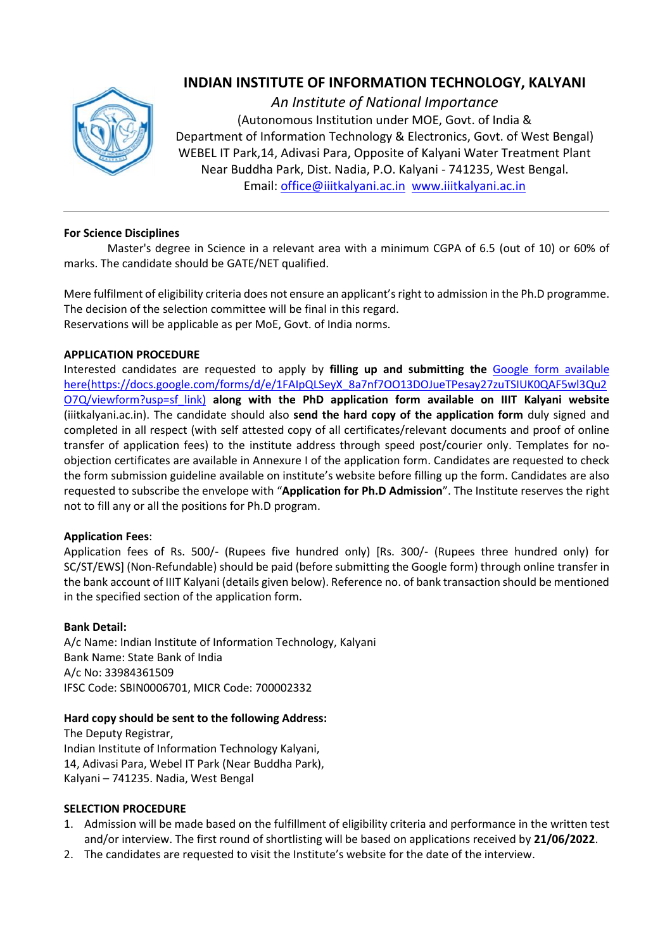

# **INDIAN INSTITUTE OF INFORMATION TECHNOLOGY, KALYANI**

*An Institute of National Importance* (Autonomous Institution under MOE, Govt. of India & Department of Information Technology & Electronics, Govt. of West Bengal) WEBEL IT Park,14, Adivasi Para, Opposite of Kalyani Water Treatment Plant Near Buddha Park, Dist. Nadia, P.O. Kalyani - 741235, West Bengal. Email[: office@iiitkalyani.ac.in](mailto:office@iiitkalyani.ac.in) www.iiitkalyani.ac.in

#### **For Science Disciplines**

Master's degree in Science in a relevant area with a minimum CGPA of 6.5 (out of 10) or 60% of marks. The candidate should be GATE/NET qualified.

Mere fulfilment of eligibility criteria does not ensure an applicant's right to admission in the Ph.D programme. The decision of the selection committee will be final in this regard. Reservations will be applicable as per MoE, Govt. of India norms.

#### **APPLICATION PROCEDURE**

Interested candidates are requested to apply by **filling up and submitting the** [Google form available](Google%20form%20available%20here)  [here](Google%20form%20available%20here)[\(https://docs.google.com/forms/d/e/1FAIpQLSeyX\\_8a7nf7OO13DOJueTPesay27zuTSIUK0QAF5wl3Qu2](https://docs.google.com/forms/d/e/1FAIpQLSeyX_8a7nf7OO13DOJueTPesay27zuTSIUK0QAF5wl3Qu2O7Q/viewform?usp=sf_link) [O7Q/viewform?usp=sf\\_link\)](https://docs.google.com/forms/d/e/1FAIpQLSeyX_8a7nf7OO13DOJueTPesay27zuTSIUK0QAF5wl3Qu2O7Q/viewform?usp=sf_link) **along with the PhD application form available on IIIT Kalyani website** (iiitkalyani.ac.in). The candidate should also **send the hard copy of the application form** duly signed and completed in all respect (with self attested copy of all certificates/relevant documents and proof of online transfer of application fees) to the institute address through speed post/courier only. Templates for noobjection certificates are available in Annexure I of the application form. Candidates are requested to check the form submission guideline available on institute's website before filling up the form. Candidates are also requested to subscribe the envelope with "**Application for Ph.D Admission**". The Institute reserves the right not to fill any or all the positions for Ph.D program.

#### **Application Fees**:

Application fees of Rs. 500/- (Rupees five hundred only) [Rs. 300/- (Rupees three hundred only) for SC/ST/EWS] (Non-Refundable) should be paid (before submitting the Google form) through online transfer in the bank account of IIIT Kalyani (details given below). Reference no. of bank transaction should be mentioned in the specified section of the application form.

#### **Bank Detail:**

A/c Name: Indian Institute of Information Technology, Kalyani Bank Name: State Bank of India A/c No: 33984361509 IFSC Code: SBIN0006701, MICR Code: 700002332

#### **Hard copy should be sent to the following Address:**

The Deputy Registrar, Indian Institute of Information Technology Kalyani, 14, Adivasi Para, Webel IT Park (Near Buddha Park), Kalyani – 741235. Nadia, West Bengal

#### **SELECTION PROCEDURE**

- 1. Admission will be made based on the fulfillment of eligibility criteria and performance in the written test and/or interview. The first round of shortlisting will be based on applications received by **21/06/2022**.
- 2. The candidates are requested to visit the Institute's website for the date of the interview.